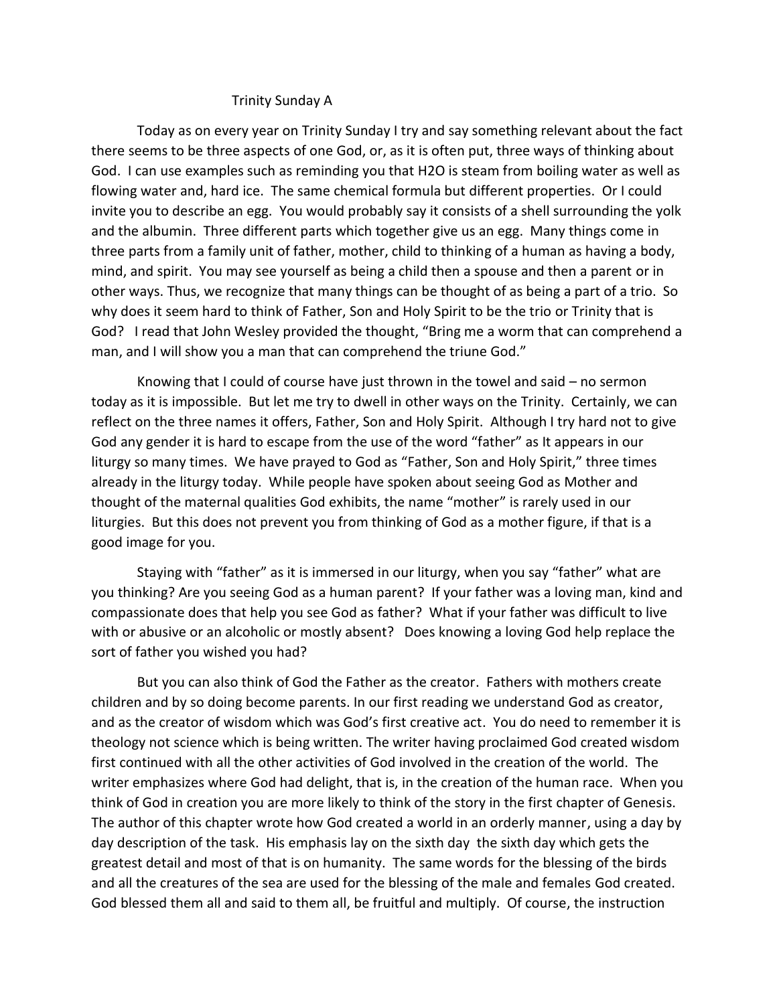## Trinity Sunday A

Today as on every year on Trinity Sunday I try and say something relevant about the fact there seems to be three aspects of one God, or, as it is often put, three ways of thinking about God. I can use examples such as reminding you that H2O is steam from boiling water as well as flowing water and, hard ice. The same chemical formula but different properties. Or I could invite you to describe an egg. You would probably say it consists of a shell surrounding the yolk and the albumin. Three different parts which together give us an egg. Many things come in three parts from a family unit of father, mother, child to thinking of a human as having a body, mind, and spirit. You may see yourself as being a child then a spouse and then a parent or in other ways. Thus, we recognize that many things can be thought of as being a part of a trio. So why does it seem hard to think of Father, Son and Holy Spirit to be the trio or Trinity that is God? I read that John Wesley provided the thought, "Bring me a worm that can comprehend a man, and I will show you a man that can comprehend the triune God."

Knowing that I could of course have just thrown in the towel and said – no sermon today as it is impossible. But let me try to dwell in other ways on the Trinity. Certainly, we can reflect on the three names it offers, Father, Son and Holy Spirit. Although I try hard not to give God any gender it is hard to escape from the use of the word "father" as It appears in our liturgy so many times. We have prayed to God as "Father, Son and Holy Spirit," three times already in the liturgy today. While people have spoken about seeing God as Mother and thought of the maternal qualities God exhibits, the name "mother" is rarely used in our liturgies. But this does not prevent you from thinking of God as a mother figure, if that is a good image for you.

Staying with "father" as it is immersed in our liturgy, when you say "father" what are you thinking? Are you seeing God as a human parent? If your father was a loving man, kind and compassionate does that help you see God as father? What if your father was difficult to live with or abusive or an alcoholic or mostly absent? Does knowing a loving God help replace the sort of father you wished you had?

But you can also think of God the Father as the creator. Fathers with mothers create children and by so doing become parents. In our first reading we understand God as creator, and as the creator of wisdom which was God's first creative act. You do need to remember it is theology not science which is being written. The writer having proclaimed God created wisdom first continued with all the other activities of God involved in the creation of the world. The writer emphasizes where God had delight, that is, in the creation of the human race. When you think of God in creation you are more likely to think of the story in the first chapter of Genesis. The author of this chapter wrote how God created a world in an orderly manner, using a day by day description of the task. His emphasis lay on the sixth day the sixth day which gets the greatest detail and most of that is on humanity. The same words for the blessing of the birds and all the creatures of the sea are used for the blessing of the male and females God created. God blessed them all and said to them all, be fruitful and multiply. Of course, the instruction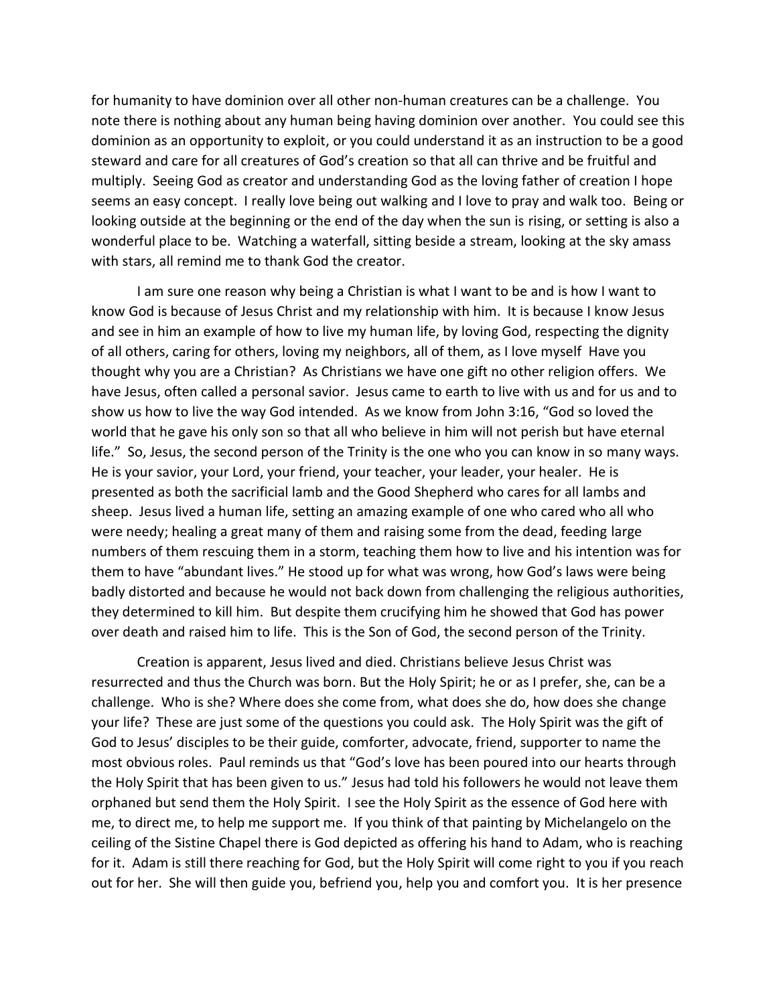for humanity to have dominion over all other non-human creatures can be a challenge. You note there is nothing about any human being having dominion over another. You could see this dominion as an opportunity to exploit, or you could understand it as an instruction to be a good steward and care for all creatures of God's creation so that all can thrive and be fruitful and multiply. Seeing God as creator and understanding God as the loving father of creation I hope seems an easy concept. I really love being out walking and I love to pray and walk too. Being or looking outside at the beginning or the end of the day when the sun is rising, or setting is also a wonderful place to be. Watching a waterfall, sitting beside a stream, looking at the sky amass with stars, all remind me to thank God the creator.

I am sure one reason why being a Christian is what I want to be and is how I want to know God is because of Jesus Christ and my relationship with him. It is because I know Jesus and see in him an example of how to live my human life, by loving God, respecting the dignity of all others, caring for others, loving my neighbors, all of them, as I love myself Have you thought why you are a Christian? As Christians we have one gift no other religion offers. We have Jesus, often called a personal savior. Jesus came to earth to live with us and for us and to show us how to live the way God intended. As we know from John 3:16, "God so loved the world that he gave his only son so that all who believe in him will not perish but have eternal life." So, Jesus, the second person of the Trinity is the one who you can know in so many ways. He is your savior, your Lord, your friend, your teacher, your leader, your healer. He is presented as both the sacrificial lamb and the Good Shepherd who cares for all lambs and sheep. Jesus lived a human life, setting an amazing example of one who cared who all who were needy; healing a great many of them and raising some from the dead, feeding large numbers of them rescuing them in a storm, teaching them how to live and his intention was for them to have "abundant lives." He stood up for what was wrong, how God's laws were being badly distorted and because he would not back down from challenging the religious authorities, they determined to kill him. But despite them crucifying him he showed that God has power over death and raised him to life. This is the Son of God, the second person of the Trinity.

Creation is apparent, Jesus lived and died. Christians believe Jesus Christ was resurrected and thus the Church was born. But the Holy Spirit; he or as I prefer, she, can be a challenge. Who is she? Where does she come from, what does she do, how does she change your life? These are just some of the questions you could ask. The Holy Spirit was the gift of God to Jesus' disciples to be their guide, comforter, advocate, friend, supporter to name the most obvious roles. Paul reminds us that "God's love has been poured into our hearts through the Holy Spirit that has been given to us." Jesus had told his followers he would not leave them orphaned but send them the Holy Spirit. I see the Holy Spirit as the essence of God here with me, to direct me, to help me support me. If you think of that painting by Michelangelo on the ceiling of the Sistine Chapel there is God depicted as offering his hand to Adam, who is reaching for it. Adam is still there reaching for God, but the Holy Spirit will come right to you if you reach out for her. She will then guide you, befriend you, help you and comfort you. It is her presence